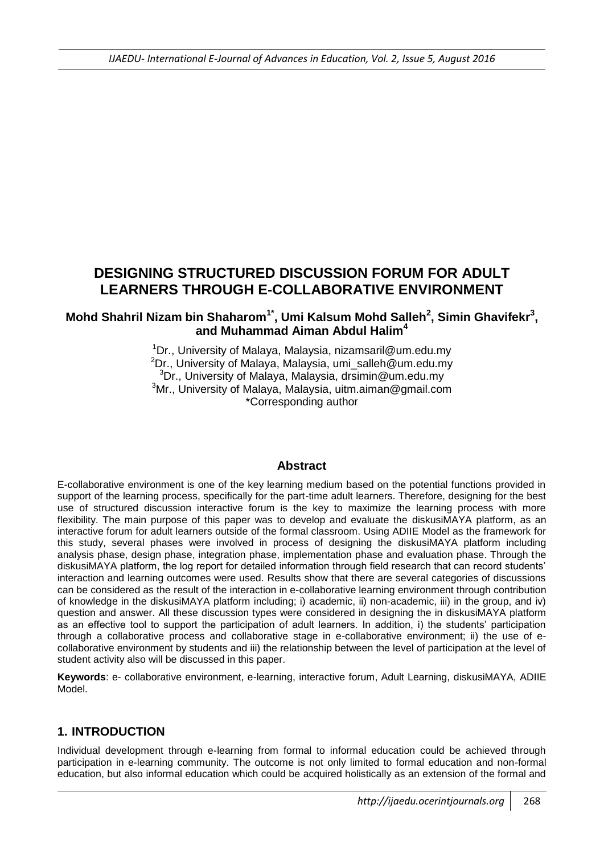# **DESIGNING STRUCTURED DISCUSSION FORUM FOR ADULT LEARNERS THROUGH E-COLLABORATIVE ENVIRONMENT**

### **Mohd Shahril Nizam bin Shaharom1\* , Umi Kalsum Mohd Salleh<sup>2</sup> , Simin Ghavifekr<sup>3</sup> , and Muhammad Aiman Abdul Halim<sup>4</sup>**

<sup>1</sup>Dr., University of Malaya, Malaysia, nizamsaril@um.edu.my  ${}^{2}$ Dr., University of Malaya, Malaysia, umi\_salleh@um.edu.my  $3$ Dr., University of Malaya, Malaysia, dr $\overline{\text{sim}}$ in@um.edu.my <sup>3</sup>Mr., University of Malaya, Malaysia, uitm.aiman@gmail.com \*Corresponding author

### **Abstract**

E-collaborative environment is one of the key learning medium based on the potential functions provided in support of the learning process, specifically for the part-time adult learners. Therefore, designing for the best use of structured discussion interactive forum is the key to maximize the learning process with more flexibility. The main purpose of this paper was to develop and evaluate the diskusiMAYA platform, as an interactive forum for adult learners outside of the formal classroom. Using ADIIE Model as the framework for this study, several phases were involved in process of designing the diskusiMAYA platform including analysis phase, design phase, integration phase, implementation phase and evaluation phase. Through the diskusiMAYA platform, the log report for detailed information through field research that can record students' interaction and learning outcomes were used. Results show that there are several categories of discussions can be considered as the result of the interaction in e-collaborative learning environment through contribution of knowledge in the diskusiMAYA platform including; i) academic, ii) non-academic, iii) in the group, and iv) question and answer. All these discussion types were considered in designing the in diskusiMAYA platform as an effective tool to support the participation of adult learners. In addition, i) the students' participation through a collaborative process and collaborative stage in e-collaborative environment; ii) the use of ecollaborative environment by students and iii) the relationship between the level of participation at the level of student activity also will be discussed in this paper.

**Keywords**: e- collaborative environment, e-learning, interactive forum, Adult Learning, diskusiMAYA, ADIIE Model.

### **1. INTRODUCTION**

Individual development through e-learning from formal to informal education could be achieved through participation in e-learning community. The outcome is not only limited to formal education and non-formal education, but also informal education which could be acquired holistically as an extension of the formal and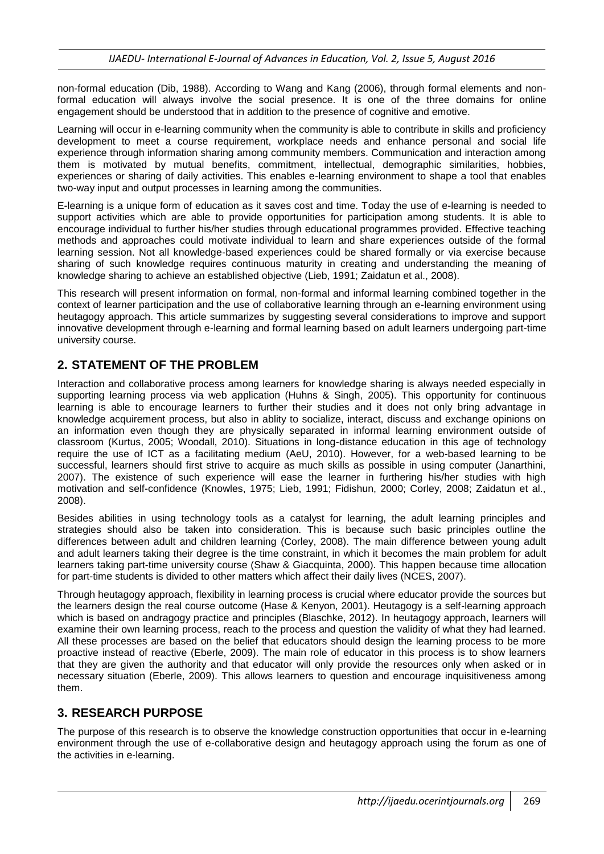non-formal education (Dib, 1988). According to Wang and Kang (2006), through formal elements and nonformal education will always involve the social presence. It is one of the three domains for online engagement should be understood that in addition to the presence of cognitive and emotive.

Learning will occur in e-learning community when the community is able to contribute in skills and proficiency development to meet a course requirement, workplace needs and enhance personal and social life experience through information sharing among community members. Communication and interaction among them is motivated by mutual benefits, commitment, intellectual, demographic similarities, hobbies, experiences or sharing of daily activities. This enables e-learning environment to shape a tool that enables two-way input and output processes in learning among the communities.

E-learning is a unique form of education as it saves cost and time. Today the use of e-learning is needed to support activities which are able to provide opportunities for participation among students. It is able to encourage individual to further his/her studies through educational programmes provided. Effective teaching methods and approaches could motivate individual to learn and share experiences outside of the formal learning session. Not all knowledge-based experiences could be shared formally or via exercise because sharing of such knowledge requires continuous maturity in creating and understanding the meaning of knowledge sharing to achieve an established objective (Lieb, 1991; Zaidatun et al., 2008).

This research will present information on formal, non-formal and informal learning combined together in the context of learner participation and the use of collaborative learning through an e-learning environment using heutagogy approach. This article summarizes by suggesting several considerations to improve and support innovative development through e-learning and formal learning based on adult learners undergoing part-time university course.

## **2. STATEMENT OF THE PROBLEM**

Interaction and collaborative process among learners for knowledge sharing is always needed especially in supporting learning process via web application (Huhns & Singh, 2005). This opportunity for continuous learning is able to encourage learners to further their studies and it does not only bring advantage in knowledge acquirement process, but also in ablity to socialize, interact, discuss and exchange opinions on an information even though they are physically separated in informal learning environment outside of classroom (Kurtus, 2005; Woodall, 2010). Situations in long-distance education in this age of technology require the use of ICT as a facilitating medium (AeU, 2010). However, for a web-based learning to be successful, learners should first strive to acquire as much skills as possible in using computer (Janarthini, 2007). The existence of such experience will ease the learner in furthering his/her studies with high motivation and self-confidence (Knowles, 1975; Lieb, 1991; Fidishun, 2000; Corley, 2008; Zaidatun et al., 2008).

Besides abilities in using technology tools as a catalyst for learning, the adult learning principles and strategies should also be taken into consideration. This is because such basic principles outline the differences between adult and children learning (Corley, 2008). The main difference between young adult and adult learners taking their degree is the time constraint, in which it becomes the main problem for adult learners taking part-time university course (Shaw & Giacquinta, 2000). This happen because time allocation for part-time students is divided to other matters which affect their daily lives (NCES, 2007).

Through heutagogy approach, flexibility in learning process is crucial where educator provide the sources but the learners design the real course outcome (Hase & Kenyon, 2001). Heutagogy is a self-learning approach which is based on andragogy practice and principles (Blaschke, 2012). In heutagogy approach, learners will examine their own learning process, reach to the process and question the validity of what they had learned. All these processes are based on the belief that educators should design the learning process to be more proactive instead of reactive (Eberle, 2009). The main role of educator in this process is to show learners that they are given the authority and that educator will only provide the resources only when asked or in necessary situation (Eberle, 2009). This allows learners to question and encourage inquisitiveness among them.

### **3. RESEARCH PURPOSE**

The purpose of this research is to observe the knowledge construction opportunities that occur in e-learning environment through the use of e-collaborative design and heutagogy approach using the forum as one of the activities in e-learning.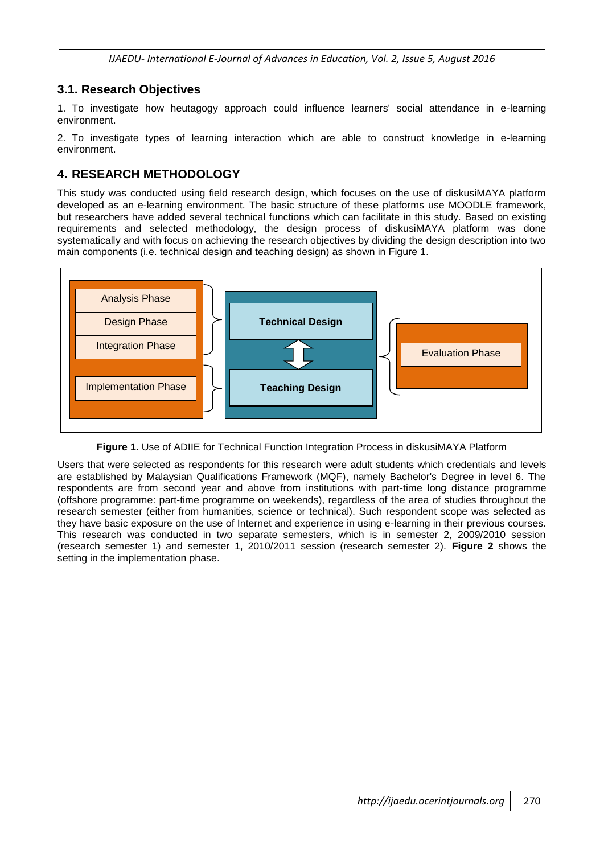### **3.1. Research Objectives**

1. To investigate how heutagogy approach could influence learners' social attendance in e-learning environment.

2. To investigate types of learning interaction which are able to construct knowledge in e-learning environment.

### **4. RESEARCH METHODOLOGY**

This study was conducted using field research design, which focuses on the use of diskusiMAYA platform developed as an e-learning environment. The basic structure of these platforms use MOODLE framework, but researchers have added several technical functions which can facilitate in this study. Based on existing requirements and selected methodology, the design process of diskusiMAYA platform was done systematically and with focus on achieving the research objectives by dividing the design description into two main components (i.e. technical design and teaching design) as shown in Figure 1.



**Figure 1.** Use of ADIIE for Technical Function Integration Process in diskusiMAYA Platform

Users that were selected as respondents for this research were adult students which credentials and levels are established by Malaysian Qualifications Framework (MQF), namely Bachelor's Degree in level 6. The respondents are from second year and above from institutions with part-time long distance programme (offshore programme: part-time programme on weekends), regardless of the area of studies throughout the research semester (either from humanities, science or technical). Such respondent scope was selected as they have basic exposure on the use of Internet and experience in using e-learning in their previous courses. This research was conducted in two separate semesters, which is in semester 2, 2009/2010 session (research semester 1) and semester 1, 2010/2011 session (research semester 2). **Figure 2** shows the setting in the implementation phase.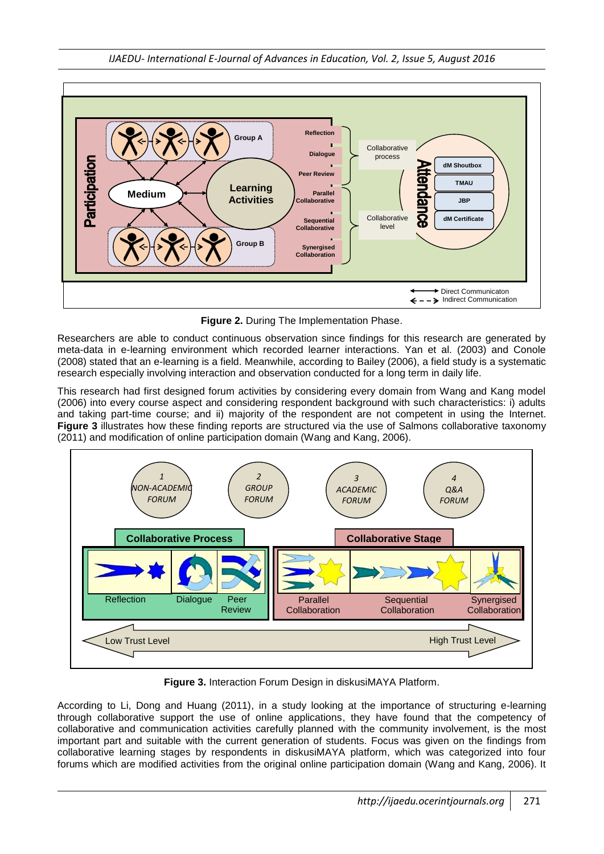

**Figure 2.** During The Implementation Phase.

Researchers are able to conduct continuous observation since findings for this research are generated by meta-data in e-learning environment which recorded learner interactions. Yan et al. (2003) and Conole (2008) stated that an e-learning is a field. Meanwhile, according to Bailey (2006), a field study is a systematic research especially involving interaction and observation conducted for a long term in daily life.

This research had first designed forum activities by considering every domain from Wang and Kang model (2006) into every course aspect and considering respondent background with such characteristics: i) adults and taking part-time course; and ii) majority of the respondent are not competent in using the Internet. **Figure 3** illustrates how these finding reports are structured via the use of Salmons collaborative taxonomy (2011) and modification of online participation domain (Wang and Kang, 2006).



**Figure 3.** Interaction Forum Design in diskusiMAYA Platform.

According to Li, Dong and Huang (2011), in a study looking at the importance of structuring e-learning through collaborative support the use of online applications, they have found that the competency of collaborative and communication activities carefully planned with the community involvement, is the most important part and suitable with the current generation of students. Focus was given on the findings from collaborative learning stages by respondents in diskusiMAYA platform, which was categorized into four forums which are modified activities from the original online participation domain (Wang and Kang, 2006). It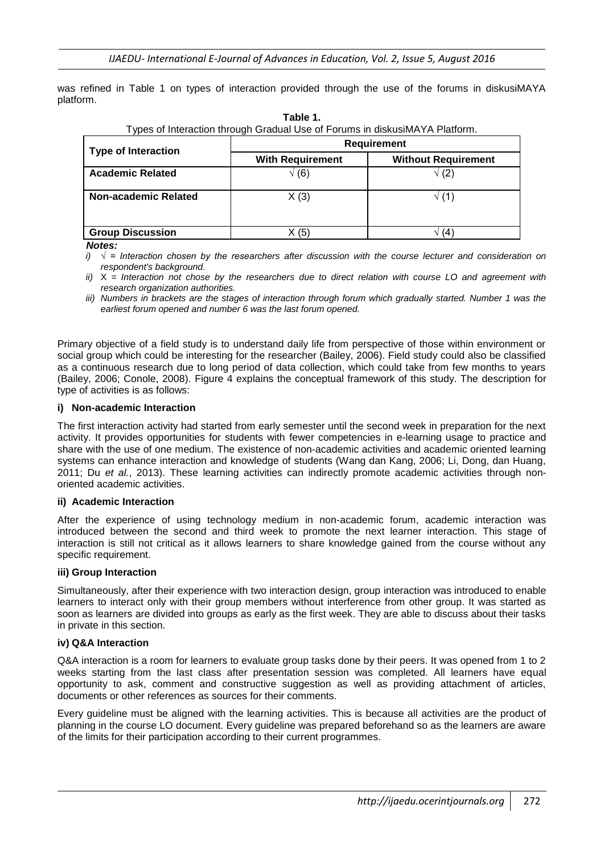was refined in Table 1 on types of interaction provided through the use of the forums in diskusiMAYA platform.

| i ypcs or interaction through Oraquar Ose or i orunis in diskusilvi/TIAT lationin. |                         |                            |  |  |
|------------------------------------------------------------------------------------|-------------------------|----------------------------|--|--|
| <b>Type of Interaction</b>                                                         | <b>Requirement</b>      |                            |  |  |
|                                                                                    | <b>With Requirement</b> | <b>Without Requirement</b> |  |  |
| <b>Academic Related</b>                                                            | $\sqrt(6)$              | $\sqrt(2)$                 |  |  |
| Non-academic Related                                                               | X(3)                    | √ (1`                      |  |  |
| <b>Group Discussion</b>                                                            | (5)                     | (4                         |  |  |

| Table 1.                                                                    |
|-----------------------------------------------------------------------------|
| Types of Interaction through Gradual Use of Forums in diskusiMAYA Platform. |

*Notes:*

*i) √ = Interaction chosen by the researchers after discussion with the course lecturer and consideration on respondent's background.*

*ii)* X *= Interaction not chose by the researchers due to direct relation with course LO and agreement with research organization authorities.*

*iii*) Numbers in brackets are the stages of interaction through forum which gradually started. Number 1 was the *earliest forum opened and number 6 was the last forum opened.*

Primary objective of a field study is to understand daily life from perspective of those within environment or social group which could be interesting for the researcher (Bailey, 2006). Field study could also be classified as a continuous research due to long period of data collection, which could take from few months to years (Bailey, 2006; Conole, 2008). Figure 4 explains the conceptual framework of this study. The description for type of activities is as follows:

#### **i) Non-academic Interaction**

The first interaction activity had started from early semester until the second week in preparation for the next activity. It provides opportunities for students with fewer competencies in e-learning usage to practice and share with the use of one medium. The existence of non-academic activities and academic oriented learning systems can enhance interaction and knowledge of students (Wang dan Kang, 2006; Li, Dong, dan Huang, 2011; Du *et al.*, 2013). These learning activities can indirectly promote academic activities through nonoriented academic activities.

#### **ii) Academic Interaction**

After the experience of using technology medium in non-academic forum, academic interaction was introduced between the second and third week to promote the next learner interaction. This stage of interaction is still not critical as it allows learners to share knowledge gained from the course without any specific requirement.

#### **iii) Group Interaction**

Simultaneously, after their experience with two interaction design, group interaction was introduced to enable learners to interact only with their group members without interference from other group. It was started as soon as learners are divided into groups as early as the first week. They are able to discuss about their tasks in private in this section.

#### **iv) Q&A Interaction**

Q&A interaction is a room for learners to evaluate group tasks done by their peers. It was opened from 1 to 2 weeks starting from the last class after presentation session was completed. All learners have equal opportunity to ask, comment and constructive suggestion as well as providing attachment of articles, documents or other references as sources for their comments.

Every guideline must be aligned with the learning activities. This is because all activities are the product of planning in the course LO document. Every guideline was prepared beforehand so as the learners are aware of the limits for their participation according to their current programmes.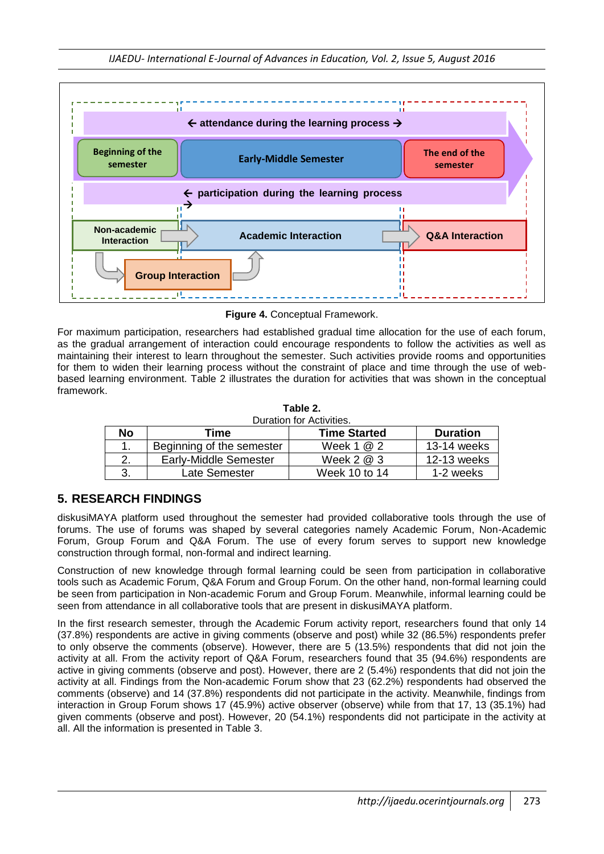

**Figure 4.** Conceptual Framework.

For maximum participation, researchers had established gradual time allocation for the use of each forum, as the gradual arrangement of interaction could encourage respondents to follow the activities as well as maintaining their interest to learn throughout the semester. Such activities provide rooms and opportunities for them to widen their learning process without the constraint of place and time through the use of webbased learning environment. Table 2 illustrates the duration for activities that was shown in the conceptual framework.

| Duration for Activities. |                           |                     |                 |  |
|--------------------------|---------------------------|---------------------|-----------------|--|
| No                       | Time                      | <b>Time Started</b> | <b>Duration</b> |  |
|                          | Beginning of the semester | Week $1@2$          | 13-14 weeks     |  |
|                          | Early-Middle Semester     | Week $2@3$          | 12-13 weeks     |  |
|                          | Late Semester             | Week 10 to 14       | 1-2 weeks       |  |

|  | Table 2.                |
|--|-------------------------|
|  | Duration for Activities |

# **5. RESEARCH FINDINGS**

diskusiMAYA platform used throughout the semester had provided collaborative tools through the use of forums. The use of forums was shaped by several categories namely Academic Forum, Non-Academic Forum, Group Forum and Q&A Forum. The use of every forum serves to support new knowledge construction through formal, non-formal and indirect learning.

Construction of new knowledge through formal learning could be seen from participation in collaborative tools such as Academic Forum, Q&A Forum and Group Forum. On the other hand, non-formal learning could be seen from participation in Non-academic Forum and Group Forum. Meanwhile, informal learning could be seen from attendance in all collaborative tools that are present in diskusiMAYA platform.

In the first research semester, through the Academic Forum activity report, researchers found that only 14 (37.8%) respondents are active in giving comments (observe and post) while 32 (86.5%) respondents prefer to only observe the comments (observe). However, there are 5 (13.5%) respondents that did not join the activity at all. From the activity report of Q&A Forum, researchers found that 35 (94.6%) respondents are active in giving comments (observe and post). However, there are 2 (5.4%) respondents that did not join the activity at all. Findings from the Non-academic Forum show that 23 (62.2%) respondents had observed the comments (observe) and 14 (37.8%) respondents did not participate in the activity. Meanwhile, findings from interaction in Group Forum shows 17 (45.9%) active observer (observe) while from that 17, 13 (35.1%) had given comments (observe and post). However, 20 (54.1%) respondents did not participate in the activity at all. All the information is presented in Table 3.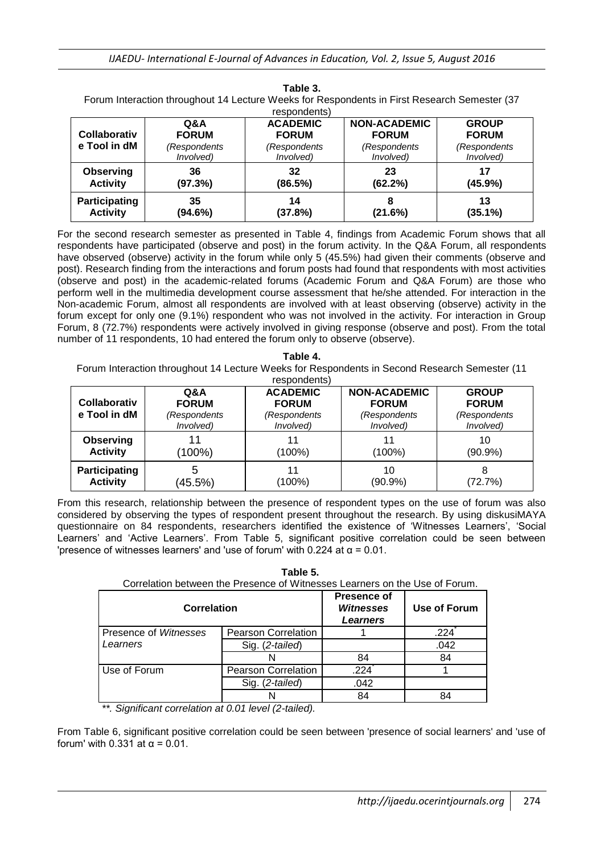| Forum interaction throughout 14 Lecture vveeks for Respondents in First Research Semester (37<br>respondents) |                |                 |                     |                   |
|---------------------------------------------------------------------------------------------------------------|----------------|-----------------|---------------------|-------------------|
| Collaborativ                                                                                                  | <b>Q&amp;A</b> | <b>ACADEMIC</b> | <b>NON-ACADEMIC</b> | <b>GROUP</b>      |
|                                                                                                               | <b>FORUM</b>   | <b>FORUM</b>    | <b>FORUM</b>        | <b>FORUM</b>      |
| e Tool in dM                                                                                                  | (Respondents   | (Respondents    | (Respondents        | (Respondents      |
|                                                                                                               | Involved)      | Involved)       | Involved)           | <i>Involved</i> ) |
| <b>Observing</b>                                                                                              | 36             | 32              | 23                  | 17                |
| <b>Activity</b>                                                                                               | (97.3%)        | (86.5%)         | (62.2%)             | $(45.9\%)$        |
|                                                                                                               |                |                 |                     |                   |

**Table 3.** Forum Interaction throughout 14 Lecture Weeks for Respondents in First Research Semester (37

For the second research semester as presented in Table 4, findings from Academic Forum shows that all respondents have participated (observe and post) in the forum activity. In the Q&A Forum, all respondents have observed (observe) activity in the forum while only 5 (45.5%) had given their comments (observe and post). Research finding from the interactions and forum posts had found that respondents with most activities (observe and post) in the academic-related forums (Academic Forum and Q&A Forum) are those who perform well in the multimedia development course assessment that he/she attended. For interaction in the Non-academic Forum, almost all respondents are involved with at least observing (observe) activity in the forum except for only one (9.1%) respondent who was not involved in the activity. For interaction in Group Forum, 8 (72.7%) respondents were actively involved in giving response (observe and post). From the total number of 11 respondents, 10 had entered the forum only to observe (observe).

| Forum Interaction throughout 14 Lecture Weeks for Respondents in Second Research Semester (11 |                |                 |                     |              |  |
|-----------------------------------------------------------------------------------------------|----------------|-----------------|---------------------|--------------|--|
|                                                                                               | respondents)   |                 |                     |              |  |
| <b>Collaborativ</b>                                                                           | <b>Q&amp;A</b> | <b>ACADEMIC</b> | <b>NON-ACADEMIC</b> | <b>GROUP</b> |  |
|                                                                                               | <b>FORUM</b>   | <b>FORUM</b>    | <b>FORUM</b>        | <b>FORUM</b> |  |
| e Tool in dM                                                                                  | (Respondents   | (Respondents    | (Respondents        | (Respondents |  |
|                                                                                               | Involved)      | Involved)       | Involved)           | Involved)    |  |
| Observing                                                                                     | 11             | 11              | 11                  | 10           |  |
| <b>Activity</b>                                                                               | (100%)         | (100%)          | $(100\%)$           | $(90.9\%)$   |  |
| <b>Participating</b>                                                                          | 5              | 11              | 10                  | 8            |  |
| <b>Activity</b>                                                                               | (45.5%)        | $(100\%)$       | (90.9%)             | (72.7%)      |  |

**Table 4.**

From this research, relationship between the presence of respondent types on the use of forum was also considered by observing the types of respondent present throughout the research. By using diskusiMAYA questionnaire on 84 respondents, researchers identified the existence of 'Witnesses Learners', 'Social Learners' and 'Active Learners'. From Table 5, significant positive correlation could be seen between 'presence of witnesses learners' and 'use of forum' with 0.224 at  $\alpha$  = 0.01.

| Table 5.<br>Correlation between the Presence of Witnesses Learners on the Use of Forum. |                            |                                                    |                     |
|-----------------------------------------------------------------------------------------|----------------------------|----------------------------------------------------|---------------------|
| <b>Correlation</b>                                                                      |                            | <b>Presence of</b><br>Witnesses<br><b>Learners</b> | <b>Use of Forum</b> |
| Presence of <i>Witnesses</i>                                                            | <b>Pearson Correlation</b> |                                                    | .224                |
| Learners                                                                                | Sig. (2-tailed)            |                                                    | .042                |
|                                                                                         | N                          | 84                                                 | 84                  |
| Use of Forum                                                                            | <b>Pearson Correlation</b> | .224                                               |                     |
|                                                                                         | Sig. (2-tailed)            | .042                                               |                     |
|                                                                                         | N                          | 84                                                 | 84                  |

*\*\*. Significant correlation at 0.01 level (2-tailed).*

From Table 6, significant positive correlation could be seen between 'presence of social learners' and 'use of forum' with 0.331 at  $\alpha = 0.01$ .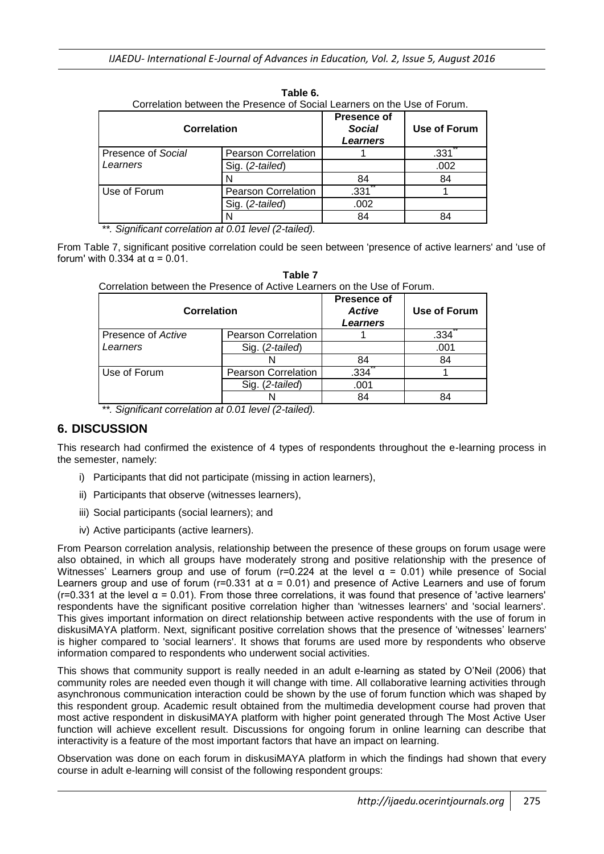| Correlation between the Presence of Social Learners on the Use of Forum. |                            |                                                        |              |
|--------------------------------------------------------------------------|----------------------------|--------------------------------------------------------|--------------|
| <b>Correlation</b>                                                       |                            | <b>Presence of</b><br><b>Social</b><br><b>Learners</b> | Use of Forum |
| Presence of Social                                                       | <b>Pearson Correlation</b> |                                                        | .331         |
| Learners                                                                 | Sig. (2-tailed)            |                                                        | .002         |
|                                                                          |                            | 84                                                     | 84           |
| Use of Forum                                                             | <b>Pearson Correlation</b> | .331                                                   |              |
|                                                                          | Sig. (2-tailed)            | .002                                                   |              |
|                                                                          |                            | 84                                                     | 84           |

**Table 6.**

*\*\*. Significant correlation at 0.01 level (2-tailed).*

From Table 7, significant positive correlation could be seen between 'presence of active learners' and 'use of forum' with 0.334 at  $\alpha$  = 0.01.

**Table 7**

| Correlation between the Presence of Active Learners on the Use of Forum. |                            |                                          |              |
|--------------------------------------------------------------------------|----------------------------|------------------------------------------|--------------|
| <b>Correlation</b>                                                       |                            | <b>Presence of</b><br>Active<br>Learners | Use of Forum |
| Presence of Active                                                       | <b>Pearson Correlation</b> |                                          | .334         |
| Learners                                                                 | Sig. (2-tailed)            |                                          | .001         |
|                                                                          |                            | 84                                       | 84           |
| Use of Forum                                                             | <b>Pearson Correlation</b> | .334                                     |              |
|                                                                          | Sig. (2-tailed)            | .001                                     |              |
|                                                                          |                            | 84                                       | 84           |

Correlation between the Presence of Active Learners on the Use of Forum.

*\*\*. Significant correlation at 0.01 level (2-tailed).*

### **6. DISCUSSION**

This research had confirmed the existence of 4 types of respondents throughout the e-learning process in the semester, namely:

- i) Participants that did not participate (missing in action learners),
- ii) Participants that observe (witnesses learners),
- iii) Social participants (social learners); and
- iv) Active participants (active learners).

From Pearson correlation analysis, relationship between the presence of these groups on forum usage were also obtained, in which all groups have moderately strong and positive relationship with the presence of Witnesses' Learners group and use of forum ( $r=0.224$  at the level  $\alpha = 0.01$ ) while presence of Social Learners group and use of forum ( $r=0.331$  at  $\alpha = 0.01$ ) and presence of Active Learners and use of forum ( $r=0.331$  at the level  $\alpha = 0.01$ ). From those three correlations, it was found that presence of 'active learners' respondents have the significant positive correlation higher than 'witnesses learners' and 'social learners'. This gives important information on direct relationship between active respondents with the use of forum in diskusiMAYA platform. Next, significant positive correlation shows that the presence of 'witnesses' learners' is higher compared to 'social learners'. It shows that forums are used more by respondents who observe information compared to respondents who underwent social activities.

This shows that community support is really needed in an adult e-learning as stated by O'Neil (2006) that community roles are needed even though it will change with time. All collaborative learning activities through asynchronous communication interaction could be shown by the use of forum function which was shaped by this respondent group. Academic result obtained from the multimedia development course had proven that most active respondent in diskusiMAYA platform with higher point generated through The Most Active User function will achieve excellent result. Discussions for ongoing forum in online learning can describe that interactivity is a feature of the most important factors that have an impact on learning.

Observation was done on each forum in diskusiMAYA platform in which the findings had shown that every course in adult e-learning will consist of the following respondent groups: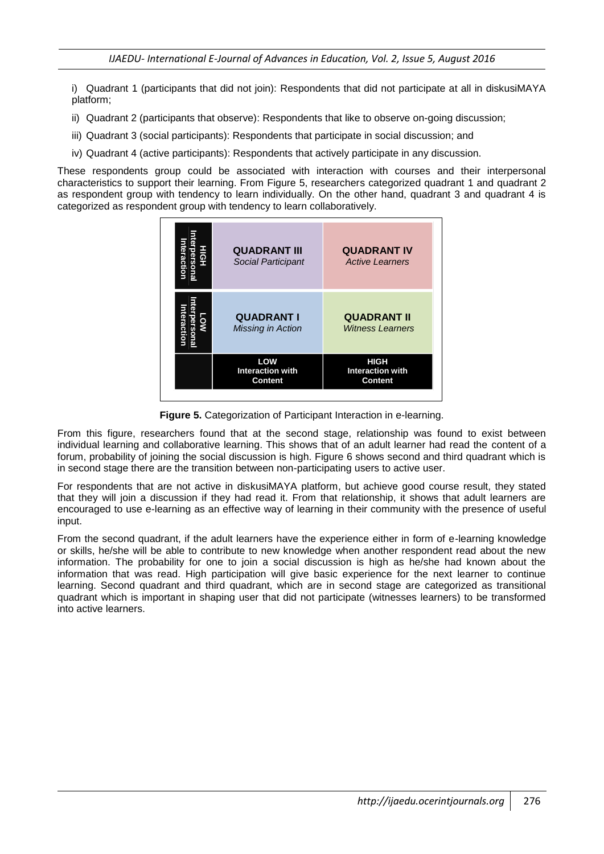i) Quadrant 1 (participants that did not join): Respondents that did not participate at all in diskusiMAYA platform;

- ii) Quadrant 2 (participants that observe): Respondents that like to observe on-going discussion;
- iii) Quadrant 3 (social participants): Respondents that participate in social discussion; and
- iv) Quadrant 4 (active participants): Respondents that actively participate in any discussion.

These respondents group could be associated with interaction with courses and their interpersonal characteristics to support their learning. From Figure 5, researchers categorized quadrant 1 and quadrant 2 as respondent group with tendency to learn individually. On the other hand, quadrant 3 and quadrant 4 is categorized as respondent group with tendency to learn collaboratively.



**Figure 5.** Categorization of Participant Interaction in e-learning.

From this figure, researchers found that at the second stage, relationship was found to exist between individual learning and collaborative learning. This shows that of an adult learner had read the content of a forum, probability of joining the social discussion is high. Figure 6 shows second and third quadrant which is in second stage there are the transition between non-participating users to active user.

For respondents that are not active in diskusiMAYA platform, but achieve good course result, they stated that they will join a discussion if they had read it. From that relationship, it shows that adult learners are encouraged to use e-learning as an effective way of learning in their community with the presence of useful input.

From the second quadrant, if the adult learners have the experience either in form of e-learning knowledge or skills, he/she will be able to contribute to new knowledge when another respondent read about the new information. The probability for one to join a social discussion is high as he/she had known about the information that was read. High participation will give basic experience for the next learner to continue learning. Second quadrant and third quadrant, which are in second stage are categorized as transitional quadrant which is important in shaping user that did not participate (witnesses learners) to be transformed into active learners.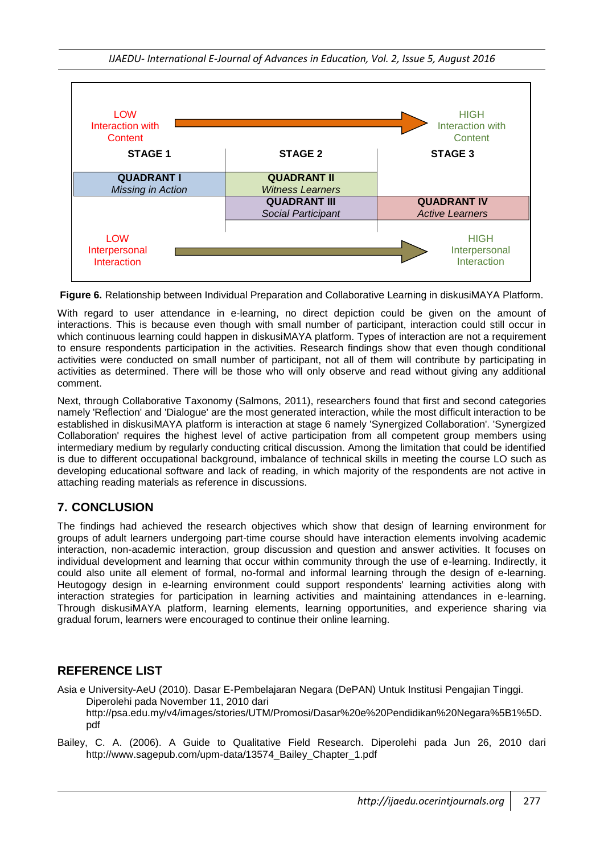

**Figure 6.** Relationship between Individual Preparation and Collaborative Learning in diskusiMAYA Platform.

With regard to user attendance in e-learning, no direct depiction could be given on the amount of interactions. This is because even though with small number of participant, interaction could still occur in which continuous learning could happen in diskusiMAYA platform. Types of interaction are not a requirement to ensure respondents participation in the activities. Research findings show that even though conditional activities were conducted on small number of participant, not all of them will contribute by participating in activities as determined. There will be those who will only observe and read without giving any additional comment.

Next, through Collaborative Taxonomy (Salmons, 2011), researchers found that first and second categories namely 'Reflection' and 'Dialogue' are the most generated interaction, while the most difficult interaction to be established in diskusiMAYA platform is interaction at stage 6 namely 'Synergized Collaboration'. 'Synergized Collaboration' requires the highest level of active participation from all competent group members using intermediary medium by regularly conducting critical discussion. Among the limitation that could be identified is due to different occupational background, imbalance of technical skills in meeting the course LO such as developing educational software and lack of reading, in which majority of the respondents are not active in attaching reading materials as reference in discussions.

### **7. CONCLUSION**

The findings had achieved the research objectives which show that design of learning environment for groups of adult learners undergoing part-time course should have interaction elements involving academic interaction, non-academic interaction, group discussion and question and answer activities. It focuses on individual development and learning that occur within community through the use of e-learning. Indirectly, it could also unite all element of formal, no-formal and informal learning through the design of e-learning. Heutogogy design in e-learning environment could support respondents' learning activities along with interaction strategies for participation in learning activities and maintaining attendances in e-learning. Through diskusiMAYA platform, learning elements, learning opportunities, and experience sharing via gradual forum, learners were encouraged to continue their online learning.

### **REFERENCE LIST**

Asia e University-AeU (2010). Dasar E-Pembelajaran Negara (DePAN) Untuk Institusi Pengajian Tinggi. Diperolehi pada November 11, 2010 dari http://psa.edu.my/v4/images/stories/UTM/Promosi/Dasar%20e%20Pendidikan%20Negara%5B1%5D. pdf

Bailey, C. A. (2006). A Guide to Qualitative Field Research. Diperolehi pada Jun 26, 2010 dari http://www.sagepub.com/upm-data/13574\_Bailey\_Chapter\_1.pdf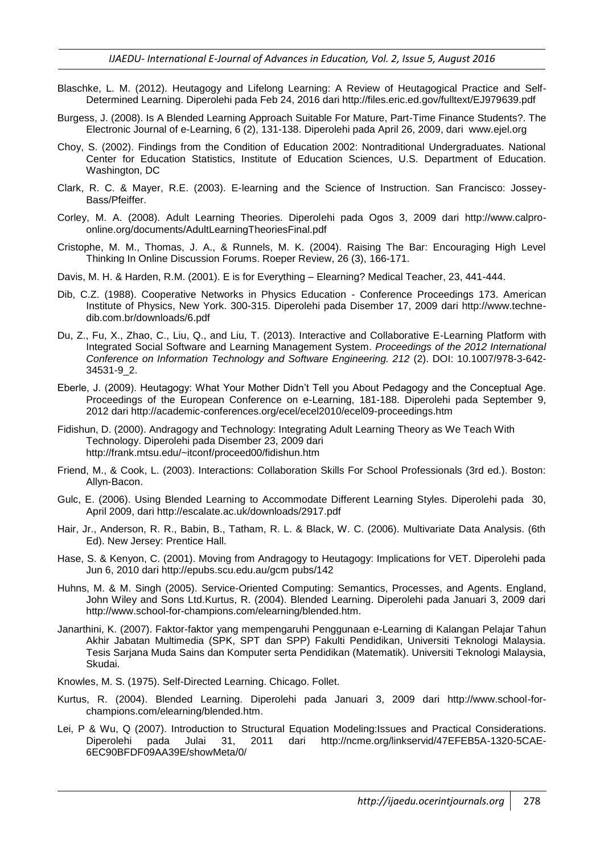- Blaschke, L. M. (2012). Heutagogy and Lifelong Learning: A Review of Heutagogical Practice and Self-Determined Learning. Diperolehi pada Feb 24, 2016 dari http://files.eric.ed.gov/fulltext/EJ979639.pdf
- Burgess, J. (2008). Is A Blended Learning Approach Suitable For Mature, Part-Time Finance Students?. The Electronic Journal of e-Learning, 6 (2), 131-138. Diperolehi pada April 26, 2009, dari www.ejel.org
- Choy, S. (2002). Findings from the Condition of Education 2002: Nontraditional Undergraduates. National Center for Education Statistics, Institute of Education Sciences, U.S. Department of Education. Washington, DC
- Clark, R. C. & Mayer, R.E. (2003). E-learning and the Science of Instruction. San Francisco: Jossey-Bass/Pfeiffer.
- Corley, M. A. (2008). Adult Learning Theories. Diperolehi pada Ogos 3, 2009 dari http://www.calproonline.org/documents/AdultLearningTheoriesFinal.pdf
- Cristophe, M. M., Thomas, J. A., & Runnels, M. K. (2004). Raising The Bar: Encouraging High Level Thinking In Online Discussion Forums. Roeper Review, 26 (3), 166-171.
- Davis, M. H. & Harden, R.M. (2001). E is for Everything Elearning? Medical Teacher, 23, 441-444.
- Dib, C.Z. (1988). Cooperative Networks in Physics Education Conference Proceedings 173. American Institute of Physics, New York. 300-315. Diperolehi pada Disember 17, 2009 dari http://www.technedib.com.br/downloads/6.pdf
- Du, Z., Fu, X., Zhao, C., Liu, Q., and Liu, T. (2013). Interactive and Collaborative E-Learning Platform with Integrated Social Software and Learning Management System. *Proceedings of the 2012 International Conference on Information Technology and Software Engineering. 212* (2). DOI: 10.1007/978-3-642- 34531-9\_2.
- Eberle, J. (2009). Heutagogy: What Your Mother Didn't Tell you About Pedagogy and the Conceptual Age. Proceedings of the European Conference on e-Learning, 181-188. Diperolehi pada September 9, 2012 dari http://academic-conferences.org/ecel/ecel2010/ecel09-proceedings.htm
- Fidishun, D. (2000). Andragogy and Technology: Integrating Adult Learning Theory as We Teach With Technology. Diperolehi pada Disember 23, 2009 dari http://frank.mtsu.edu/~itconf/proceed00/fidishun.htm
- Friend, M., & Cook, L. (2003). Interactions: Collaboration Skills For School Professionals (3rd ed.). Boston: Allyn-Bacon.
- Gulc, E. (2006). Using Blended Learning to Accommodate Different Learning Styles. Diperolehi pada 30, April 2009, dari http://escalate.ac.uk/downloads/2917.pdf
- Hair, Jr., Anderson, R. R., Babin, B., Tatham, R. L. & Black, W. C. (2006). Multivariate Data Analysis. (6th Ed). New Jersey: Prentice Hall.
- Hase, S. & Kenyon, C. (2001). Moving from Andragogy to Heutagogy: Implications for VET. Diperolehi pada Jun 6, 2010 dari http://epubs.scu.edu.au/gcm pubs/142
- Huhns, M. & M. Singh (2005). Service-Oriented Computing: Semantics, Processes, and Agents. England, John Wiley and Sons Ltd.Kurtus, R. (2004). Blended Learning. Diperolehi pada Januari 3, 2009 dari http://www.school-for-champions.com/elearning/blended.htm.
- Janarthini, K. (2007). Faktor-faktor yang mempengaruhi Penggunaan e-Learning di Kalangan Pelajar Tahun Akhir Jabatan Multimedia (SPK, SPT dan SPP) Fakulti Pendidikan, Universiti Teknologi Malaysia. Tesis Sarjana Muda Sains dan Komputer serta Pendidikan (Matematik). Universiti Teknologi Malaysia, Skudai.
- Knowles, M. S. (1975). Self-Directed Learning. Chicago. Follet.
- Kurtus, R. (2004). Blended Learning. Diperolehi pada Januari 3, 2009 dari http://www.school-forchampions.com/elearning/blended.htm.
- Lei, P & Wu, Q (2007). Introduction to Structural Equation Modeling:Issues and Practical Considerations. Diperolehi pada Julai 31, 2011 dari http://ncme.org/linkservid/47EFEB5A-1320-5CAE-6EC90BFDF09AA39E/showMeta/0/